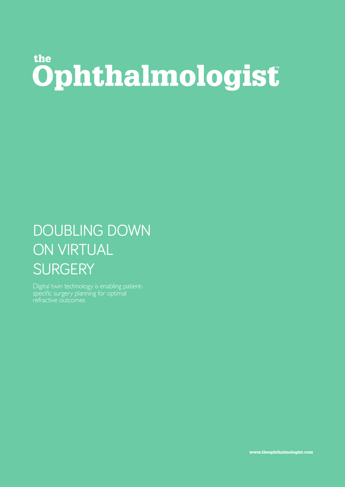## the Ophthalmologist

## DOUBLING DOWN ON VIRTUAL **SURGERY**

Digital twin technology is enabling patientspecific surgery planning for optimal refractive outcomes